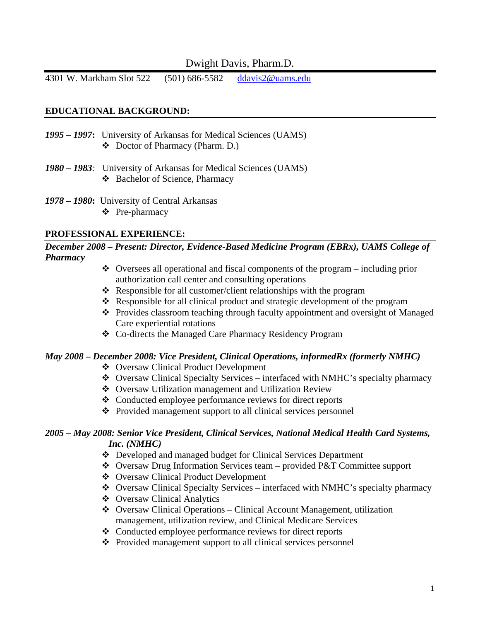# Dwight Davis, Pharm.D.

4301 W. Markham Slot 522 (501) 686-5582 ddavis2@uams.edu

#### **EDUCATIONAL BACKGROUND:**

- *1995 1997***:** University of Arkansas for Medical Sciences (UAMS) Doctor of Pharmacy (Pharm. D.)
- *1980 1983:* University of Arkansas for Medical Sciences (UAMS) Bachelor of Science, Pharmacy
- *1978 1980***:** University of Central Arkansas Pre-pharmacy

#### **PROFESSIONAL EXPERIENCE:**

*December 2008 – Present: Director, Evidence-Based Medicine Program (EBRx), UAMS College of Pharmacy* 

- $\triangle$  Oversees all operational and fiscal components of the program including prior authorization call center and consulting operations
- Responsible for all customer/client relationships with the program
- $\triangle$  Responsible for all clinical product and strategic development of the program
- \* Provides classroom teaching through faculty appointment and oversight of Managed Care experiential rotations
- Co-directs the Managed Care Pharmacy Residency Program

#### *May 2008 – December 2008: Vice President, Clinical Operations, informedRx (formerly NMHC)*

- ❖ Oversaw Clinical Product Development
- Oversaw Clinical Specialty Services interfaced with NMHC's specialty pharmacy
- Oversaw Utilization management and Utilization Review
- Conducted employee performance reviews for direct reports
- Provided management support to all clinical services personnel

#### *2005 – May 2008: Senior Vice President, Clinical Services, National Medical Health Card Systems, Inc. (NMHC)*

- Developed and managed budget for Clinical Services Department
- Oversaw Drug Information Services team provided P&T Committee support
- ❖ Oversaw Clinical Product Development
- Oversaw Clinical Specialty Services interfaced with NMHC's specialty pharmacy
- Oversaw Clinical Analytics
- Oversaw Clinical Operations Clinical Account Management, utilization management, utilization review, and Clinical Medicare Services
- Conducted employee performance reviews for direct reports
- ❖ Provided management support to all clinical services personnel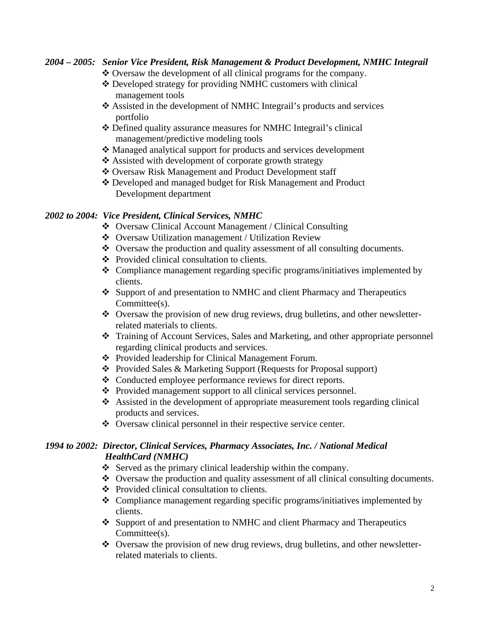# *2004 – 2005: Senior Vice President, Risk Management & Product Development, NMHC Integrail*

- \* Oversaw the development of all clinical programs for the company.
- Developed strategy for providing NMHC customers with clinical management tools
- Assisted in the development of NMHC Integrail's products and services portfolio
- Defined quality assurance measures for NMHC Integrail's clinical management/predictive modeling tools
- Managed analytical support for products and services development
- Assisted with development of corporate growth strategy
- ❖ Oversaw Risk Management and Product Development staff
- Developed and managed budget for Risk Management and Product Development department

## *2002 to 2004: Vice President, Clinical Services, NMHC*

- Oversaw Clinical Account Management / Clinical Consulting
- Oversaw Utilization management / Utilization Review
- Oversaw the production and quality assessment of all consulting documents.
- Provided clinical consultation to clients.
- Compliance management regarding specific programs/initiatives implemented by clients.
- Support of and presentation to NMHC and client Pharmacy and Therapeutics Committee(s).
- Oversaw the provision of new drug reviews, drug bulletins, and other newsletterrelated materials to clients.
- Training of Account Services, Sales and Marketing, and other appropriate personnel regarding clinical products and services.
- Provided leadership for Clinical Management Forum.
- Provided Sales & Marketing Support (Requests for Proposal support)
- Conducted employee performance reviews for direct reports.
- Provided management support to all clinical services personnel.
- $\triangle$  Assisted in the development of appropriate measurement tools regarding clinical products and services.
- Oversaw clinical personnel in their respective service center.

# *1994 to 2002: Director, Clinical Services, Pharmacy Associates, Inc. / National Medical HealthCard (NMHC)*

- Served as the primary clinical leadership within the company.
- Oversaw the production and quality assessment of all clinical consulting documents.
- Provided clinical consultation to clients.
- Compliance management regarding specific programs/initiatives implemented by clients.
- Support of and presentation to NMHC and client Pharmacy and Therapeutics Committee(s).
- Oversaw the provision of new drug reviews, drug bulletins, and other newsletterrelated materials to clients.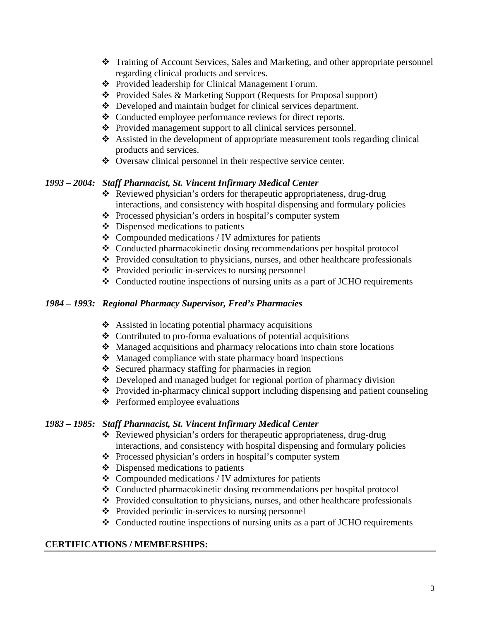- Training of Account Services, Sales and Marketing, and other appropriate personnel regarding clinical products and services.
- Provided leadership for Clinical Management Forum.
- Provided Sales & Marketing Support (Requests for Proposal support)
- Developed and maintain budget for clinical services department.
- Conducted employee performance reviews for direct reports.
- Provided management support to all clinical services personnel.
- Assisted in the development of appropriate measurement tools regarding clinical products and services.
- Oversaw clinical personnel in their respective service center.

# *1993 – 2004: Staff Pharmacist, St. Vincent Infirmary Medical Center*

- Reviewed physician's orders for therapeutic appropriateness, drug-drug interactions, and consistency with hospital dispensing and formulary policies
- Processed physician's orders in hospital's computer system
- $\triangle$  Dispensed medications to patients
- $\triangleleft$  Compounded medications / IV admixtures for patients
- Conducted pharmacokinetic dosing recommendations per hospital protocol
- \* Provided consultation to physicians, nurses, and other healthcare professionals
- Provided periodic in-services to nursing personnel
- Conducted routine inspections of nursing units as a part of JCHO requirements

## *1984 – 1993: Regional Pharmacy Supervisor, Fred's Pharmacies*

- ❖ Assisted in locating potential pharmacy acquisitions
- Contributed to pro-forma evaluations of potential acquisitions
- Managed acquisitions and pharmacy relocations into chain store locations
- Managed compliance with state pharmacy board inspections
- $\div$  Secured pharmacy staffing for pharmacies in region
- $\triangle$  Developed and managed budget for regional portion of pharmacy division
- Provided in-pharmacy clinical support including dispensing and patient counseling
- **❖** Performed employee evaluations

## *1983 – 1985: Staff Pharmacist, St. Vincent Infirmary Medical Center*

- Reviewed physician's orders for therapeutic appropriateness, drug-drug interactions, and consistency with hospital dispensing and formulary policies
- Processed physician's orders in hospital's computer system
- $\triangle$  Dispensed medications to patients
- $\triangleleft$  Compounded medications / IV admixtures for patients
- Conducted pharmacokinetic dosing recommendations per hospital protocol
- Provided consultation to physicians, nurses, and other healthcare professionals
- Provided periodic in-services to nursing personnel
- Conducted routine inspections of nursing units as a part of JCHO requirements

## **CERTIFICATIONS / MEMBERSHIPS:**